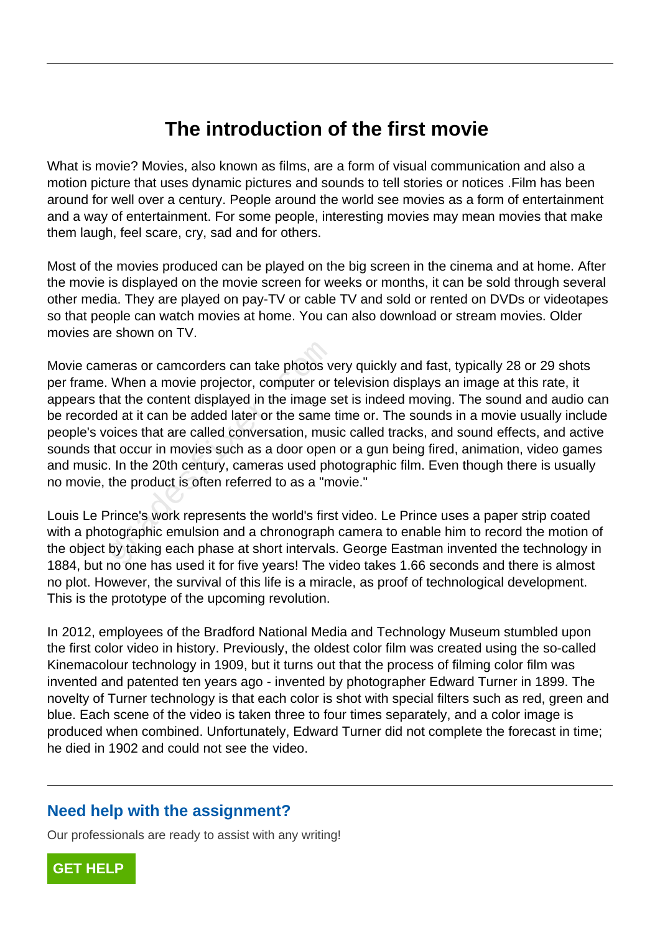## **The introduction of the first movie**

What is movie? Movies, also known as films, are a form of visual communication and also a motion picture that uses dynamic pictures and sounds to tell stories or notices .Film has been around for well over a century. People around the world see movies as a form of entertainment and a way of entertainment. For some people, interesting movies may mean movies that make them laugh, feel scare, cry, sad and for others.

Most of the movies produced can be played on the big screen in the cinema and at home. After the movie is displayed on the movie screen for weeks or months, it can be sold through several other media. They are played on pay-TV or cable TV and sold or rented on DVDs or videotapes so that people can watch movies at home. You can also download or stream movies. Older movies are shown on TV.

Movie cameras or camcorders can take photos very quickly and fast, typically 28 or 29 shots per frame. When a movie projector, computer or television displays an image at this rate, it appears that the content displayed in the image set is indeed moving. The sound and audio can be recorded at it can be added later or the same time or. The sounds in a movie usually include people's voices that are called conversation, music called tracks, and sound effects, and active sounds that occur in movies such as a door open or a gun being fired, animation, video games and music. In the 20th century, cameras used photographic film. Even though there is usually no movie, the product is often referred to as a "movie." neras or camcorders can take photos v<br>When a movie projector, computer or<br>at the content displayed in the image s<br>ed at it can be added later or the same<br>oices that are called conversation, mus<br>at occur in movies such as a

Louis Le Prince's work represents the world's first video. Le Prince uses a paper strip coated with a photographic emulsion and a chronograph camera to enable him to record the motion of the object by taking each phase at short intervals. George Eastman invented the technology in 1884, but no one has used it for five years! The video takes 1.66 seconds and there is almost no plot. However, the survival of this life is a miracle, as proof of technological development. This is the prototype of the upcoming revolution.

In 2012, employees of the Bradford National Media and Technology Museum stumbled upon the first color video in history. Previously, the oldest color film was created using the so-called Kinemacolour technology in 1909, but it turns out that the process of filming color film was invented and patented ten years ago - invented by photographer Edward Turner in 1899. The novelty of Turner technology is that each color is shot with special filters such as red, green and blue. Each scene of the video is taken three to four times separately, and a color image is produced when combined. Unfortunately, Edward Turner did not complete the forecast in time; he died in 1902 and could not see the video.

## **Need help with the assignment?**

Our professionals are ready to assist with any writing!